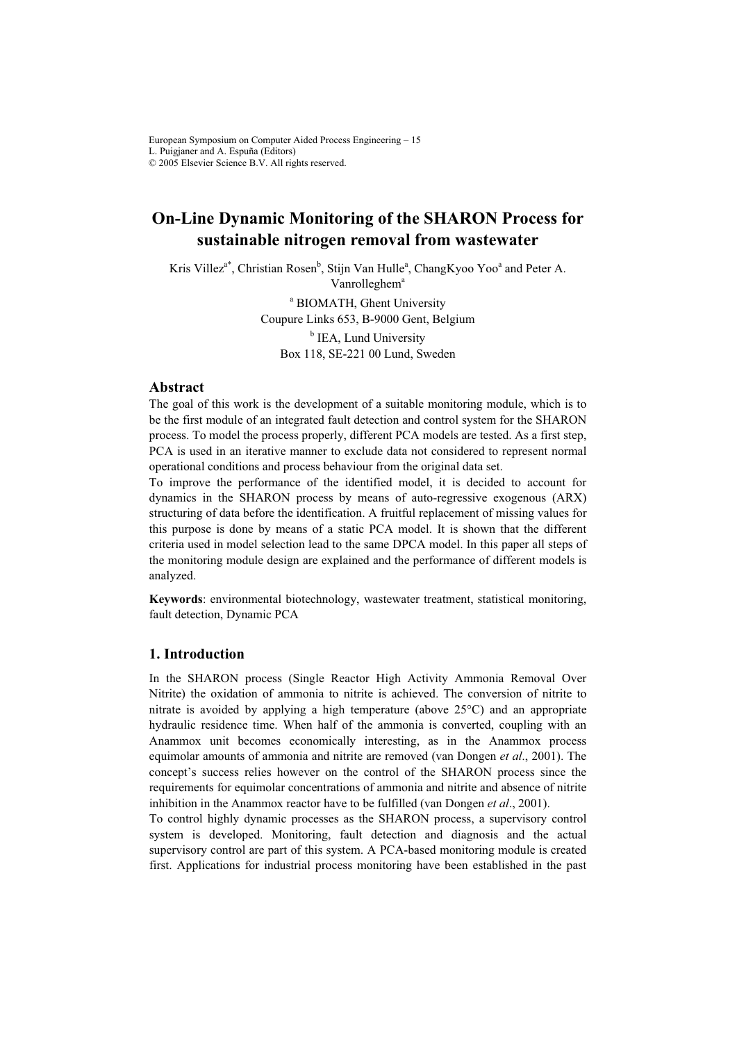European Symposium on Computer Arded Process Engineering – 15 European Symposium on Computer Aided Process Engineering – 15 L. Puigjaner and A. Espuña (Editors) L. Puigjaner and A. Espuña (Editors) © 2005 Elsevier Science B.V. All rights reserved. © 2005 Elsevier Science B.V. All rights reserved.

# **On-Line Dynamic Monitoring of the SHARON Process for sustainable nitrogen removal from wastewater**

Kris Villez<sup>a\*</sup>, Christian Rosen<sup>b</sup>, Stijn Van Hulle<sup>a</sup>, ChangKyoo Yoo<sup>a</sup> and Peter A. Vanrolleghem<sup>a</sup> <sup>a</sup> BIOMATH, Ghent University Coupure Links 653, B-9000 Gent, Belgium <sup>b</sup> IEA, Lund University Box 118, SE-221 00 Lund, Sweden

#### **Abstract**

The goal of this work is the development of a suitable monitoring module, which is to be the first module of an integrated fault detection and control system for the SHARON process. To model the process properly, different PCA models are tested. As a first step, PCA is used in an iterative manner to exclude data not considered to represent normal operational conditions and process behaviour from the original data set.

To improve the performance of the identified model, it is decided to account for dynamics in the SHARON process by means of auto-regressive exogenous (ARX) structuring of data before the identification. A fruitful replacement of missing values for this purpose is done by means of a static PCA model. It is shown that the different criteria used in model selection lead to the same DPCA model. In this paper all steps of the monitoring module design are explained and the performance of different models is analyzed.

**Keywords**: environmental biotechnology, wastewater treatment, statistical monitoring, fault detection, Dynamic PCA

### **1. Introduction**

In the SHARON process (Single Reactor High Activity Ammonia Removal Over Nitrite) the oxidation of ammonia to nitrite is achieved. The conversion of nitrite to nitrate is avoided by applying a high temperature (above 25°C) and an appropriate hydraulic residence time. When half of the ammonia is converted, coupling with an Anammox unit becomes economically interesting, as in the Anammox process equimolar amounts of ammonia and nitrite are removed (van Dongen *et al*., 2001). The concept's success relies however on the control of the SHARON process since the requirements for equimolar concentrations of ammonia and nitrite and absence of nitrite inhibition in the Anammox reactor have to be fulfilled (van Dongen *et al*., 2001).

To control highly dynamic processes as the SHARON process, a supervisory control system is developed. Monitoring, fault detection and diagnosis and the actual supervisory control are part of this system. A PCA-based monitoring module is created first. Applications for industrial process monitoring have been established in the past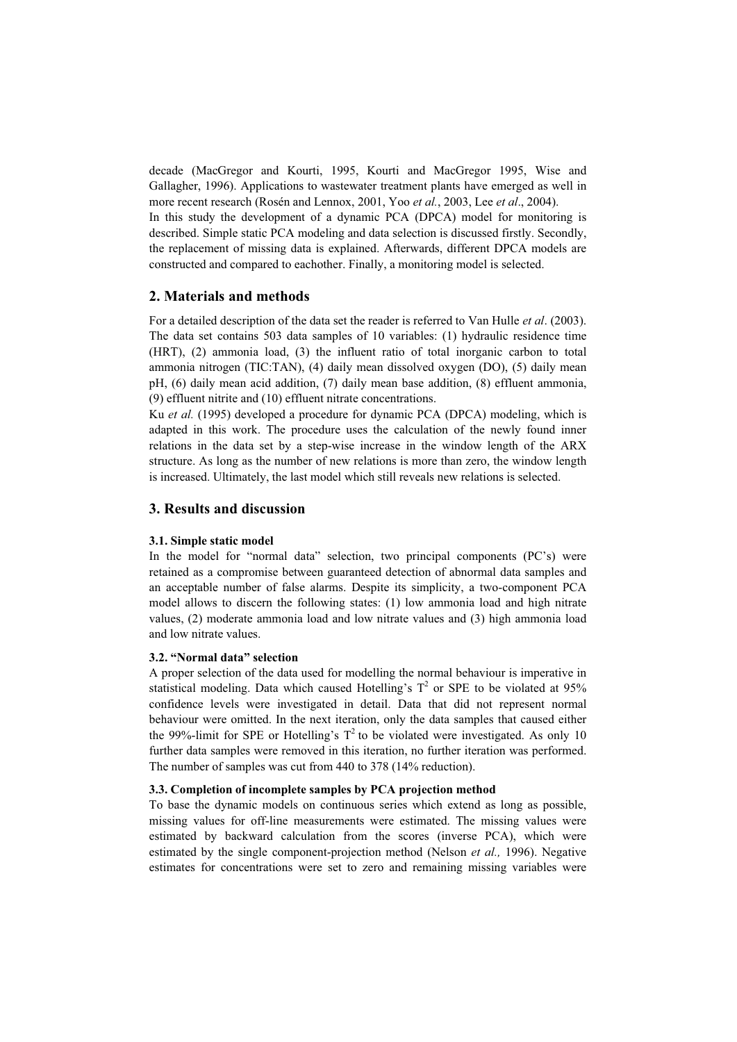decade (MacGregor and Kourti, 1995, Kourti and MacGregor 1995, Wise and Gallagher, 1996). Applications to wastewater treatment plants have emerged as well in more recent research (Rosén and Lennox, 2001, Yoo *et al.*, 2003, Lee *et al*., 2004).

In this study the development of a dynamic PCA (DPCA) model for monitoring is described. Simple static PCA modeling and data selection is discussed firstly. Secondly, the replacement of missing data is explained. Afterwards, different DPCA models are constructed and compared to eachother. Finally, a monitoring model is selected.

### **2. Materials and methods**

For a detailed description of the data set the reader is referred to Van Hulle *et al*. (2003). The data set contains 503 data samples of 10 variables: (1) hydraulic residence time (HRT), (2) ammonia load, (3) the influent ratio of total inorganic carbon to total ammonia nitrogen (TIC:TAN), (4) daily mean dissolved oxygen (DO), (5) daily mean pH, (6) daily mean acid addition, (7) daily mean base addition, (8) effluent ammonia, (9) effluent nitrite and (10) effluent nitrate concentrations.

Ku *et al.* (1995) developed a procedure for dynamic PCA (DPCA) modeling, which is adapted in this work. The procedure uses the calculation of the newly found inner relations in the data set by a step-wise increase in the window length of the ARX structure. As long as the number of new relations is more than zero, the window length is increased. Ultimately, the last model which still reveals new relations is selected.

### **3. Results and discussion**

#### **3.1. Simple static model**

In the model for "normal data" selection, two principal components (PC's) were retained as a compromise between guaranteed detection of abnormal data samples and an acceptable number of false alarms. Despite its simplicity, a two-component PCA model allows to discern the following states: (1) low ammonia load and high nitrate values, (2) moderate ammonia load and low nitrate values and (3) high ammonia load and low nitrate values.

### **3.2. "Normal data" selection**

A proper selection of the data used for modelling the normal behaviour is imperative in statistical modeling. Data which caused Hotelling's  $T^2$  or SPE to be violated at 95% confidence levels were investigated in detail. Data that did not represent normal behaviour were omitted. In the next iteration, only the data samples that caused either the 99%-limit for SPE or Hotelling's  $T^2$  to be violated were investigated. As only 10 further data samples were removed in this iteration, no further iteration was performed. The number of samples was cut from 440 to 378 (14% reduction).

### **3.3. Completion of incomplete samples by PCA projection method**

To base the dynamic models on continuous series which extend as long as possible, missing values for off-line measurements were estimated. The missing values were estimated by backward calculation from the scores (inverse PCA), which were estimated by the single component-projection method (Nelson *et al.,* 1996). Negative estimates for concentrations were set to zero and remaining missing variables were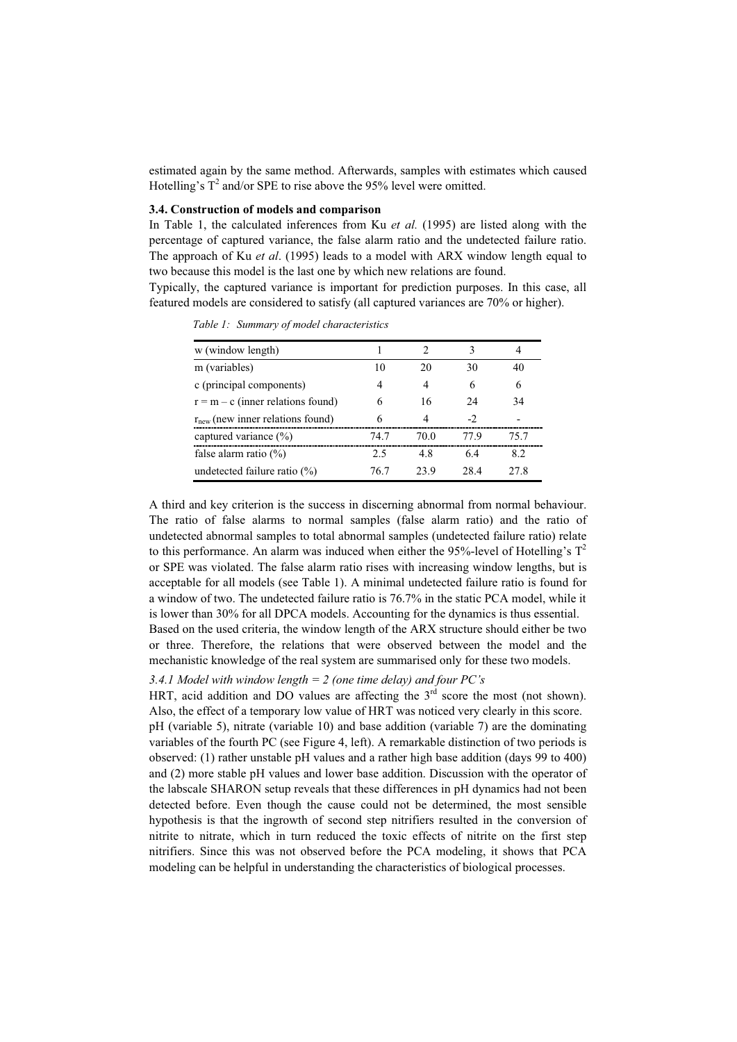estimated again by the same method. Afterwards, samples with estimates which caused Hotelling's  $T^2$  and/or SPE to rise above the 95% level were omitted.

### **3.4. Construction of models and comparison**

In Table 1, the calculated inferences from Ku *et al.* (1995) are listed along with the percentage of captured variance, the false alarm ratio and the undetected failure ratio. The approach of Ku *et al*. (1995) leads to a model with ARX window length equal to two because this model is the last one by which new relations are found.

Typically, the captured variance is important for prediction purposes. In this case, all featured models are considered to satisfy (all captured variances are 70% or higher).

| w (window length)                            |      |      |      |      |
|----------------------------------------------|------|------|------|------|
| m (variables)                                | 10   | 20   | 30   | 40   |
| c (principal components)                     | 4    | 4    | 6    | 6    |
| $r = m - c$ (inner relations found)          | 6    | 16   | 24   | 34   |
| $r_{\text{new}}$ (new inner relations found) | 6    | 4    | $-2$ |      |
| captured variance $(\% )$                    | 74.7 | 70 O | 77 9 | 75 7 |
| false alarm ratio $(\%)$                     | 2.5  | 4.8  | 6.4  | 8.2  |
| undetected failure ratio $(\%)$              | 76.7 | 23.9 | 28.4 | 27.8 |

*Table 1: Summary of model characteristics* 

A third and key criterion is the success in discerning abnormal from normal behaviour. The ratio of false alarms to normal samples (false alarm ratio) and the ratio of undetected abnormal samples to total abnormal samples (undetected failure ratio) relate to this performance. An alarm was induced when either the 95%-level of Hotelling's  $T^2$ or SPE was violated. The false alarm ratio rises with increasing window lengths, but is acceptable for all models (see Table 1). A minimal undetected failure ratio is found for a window of two. The undetected failure ratio is 76.7% in the static PCA model, while it is lower than 30% for all DPCA models. Accounting for the dynamics is thus essential. Based on the used criteria, the window length of the ARX structure should either be two or three. Therefore, the relations that were observed between the model and the mechanistic knowledge of the real system are summarised only for these two models.

### *3.4.1 Model with window length = 2 (one time delay) and four PC's*

HRT, acid addition and DO values are affecting the  $3<sup>rd</sup>$  score the most (not shown). Also, the effect of a temporary low value of HRT was noticed very clearly in this score. pH (variable 5), nitrate (variable 10) and base addition (variable 7) are the dominating variables of the fourth PC (see Figure 4, left). A remarkable distinction of two periods is observed: (1) rather unstable pH values and a rather high base addition (days 99 to 400) and (2) more stable pH values and lower base addition. Discussion with the operator of the labscale SHARON setup reveals that these differences in pH dynamics had not been detected before. Even though the cause could not be determined, the most sensible hypothesis is that the ingrowth of second step nitrifiers resulted in the conversion of nitrite to nitrate, which in turn reduced the toxic effects of nitrite on the first step nitrifiers. Since this was not observed before the PCA modeling, it shows that PCA modeling can be helpful in understanding the characteristics of biological processes.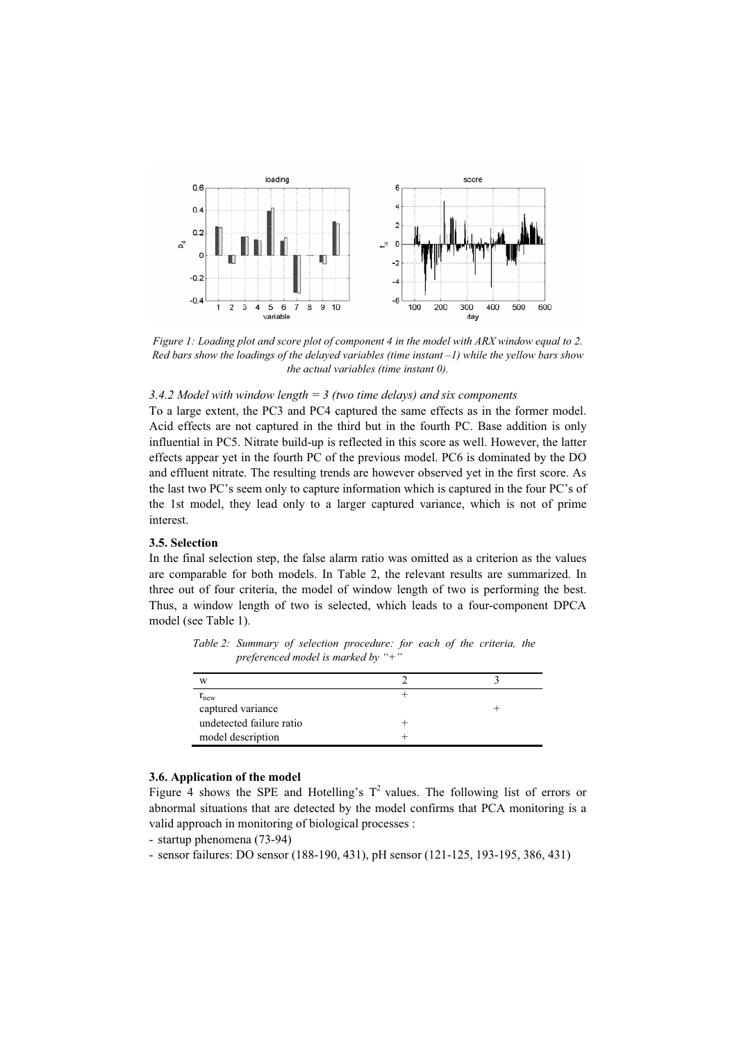

*Figure 1: Loading plot and score plot of component 4 in the model with ARX window equal to 2. Red bars show the loadings of the delayed variables (time instant –1) while the yellow bars show the actual variables (time instant 0).* 

#### *3.4.2 Model with window length = 3 (two time delays) and six components*

To a large extent, the PC3 and PC4 captured the same effects as in the former model. Acid effects are not captured in the third but in the fourth PC. Base addition is only influential in PC5. Nitrate build-up is reflected in this score as well. However, the latter effects appear yet in the fourth PC of the previous model. PC6 is dominated by the DO and effluent nitrate. The resulting trends are however observed yet in the first score. As the last two PC's seem only to capture information which is captured in the four PC's of the 1st model, they lead only to a larger captured variance, which is not of prime interest.

#### **3.5. Selection**

In the final selection step, the false alarm ratio was omitted as a criterion as the values are comparable for both models. In Table 2, the relevant results are summarized. In three out of four criteria, the model of window length of two is performing the best. Thus, a window length of two is selected, which leads to a four-component DPCA model (see Table 1).

| W                        |  |
|--------------------------|--|
| $r_{\text{new}}$         |  |
| captured variance        |  |
| undetected failure ratio |  |
| model description        |  |

*Table 2: Summary of selection procedure: for each of the criteria, the preferenced model is marked by "+"* 

### **3.6. Application of the model**

Figure 4 shows the SPE and Hotelling's  $T^2$  values. The following list of errors or abnormal situations that are detected by the model confirms that PCA monitoring is a valid approach in monitoring of biological processes :

- startup phenomena (73-94)
- sensor failures: DO sensor (188-190, 431), pH sensor (121-125, 193-195, 386, 431)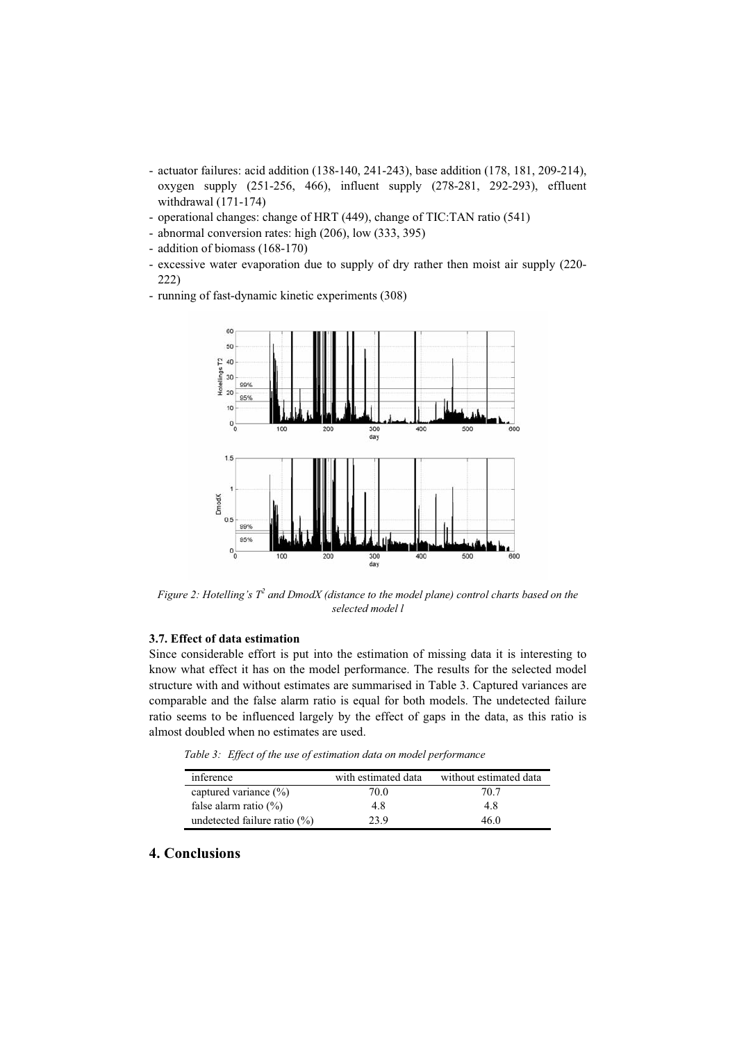- actuator failures: acid addition (138-140, 241-243), base addition (178, 181, 209-214), oxygen supply (251-256, 466), influent supply (278-281, 292-293), effluent withdrawal (171-174)
- operational changes: change of HRT (449), change of TIC:TAN ratio (541)
- abnormal conversion rates: high (206), low (333, 395)
- addition of biomass (168-170)
- excessive water evaporation due to supply of dry rather then moist air supply (220- 222)
- running of fast-dynamic kinetic experiments (308)



Figure 2: Hotelling's  $T^2$  and DmodX (distance to the model plane) control charts based on the *selected model l* 

#### **3.7. Effect of data estimation**

Since considerable effort is put into the estimation of missing data it is interesting to know what effect it has on the model performance. The results for the selected model structure with and without estimates are summarised in Table 3. Captured variances are comparable and the false alarm ratio is equal for both models. The undetected failure ratio seems to be influenced largely by the effect of gaps in the data, as this ratio is almost doubled when no estimates are used.

*Table 3: Effect of the use of estimation data on model performance* 

| inference                       | with estimated data | without estimated data |
|---------------------------------|---------------------|------------------------|
| captured variance $(\% )$       | 70.0                | 70.7                   |
| false alarm ratio $(\%)$        | 4.8                 | 4.8                    |
| undetected failure ratio $(\%)$ | 23.9                | 46.0                   |

## **4. Conclusions**